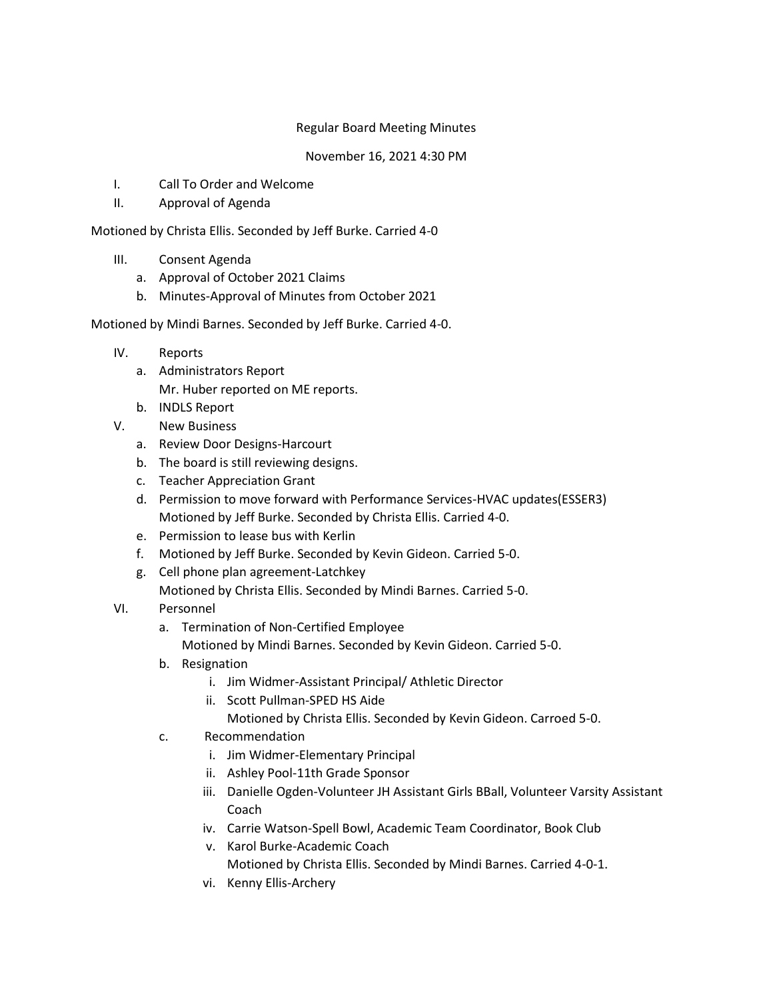## Regular Board Meeting Minutes

## November 16, 2021 4:30 PM

- I. Call To Order and Welcome
- II. Approval of Agenda

## Motioned by Christa Ellis. Seconded by Jeff Burke. Carried 4-0

- III. Consent Agenda
	- a. Approval of October 2021 Claims
	- b. Minutes-Approval of Minutes from October 2021

## Motioned by Mindi Barnes. Seconded by Jeff Burke. Carried 4-0.

- IV. Reports
	- a. Administrators Report Mr. Huber reported on ME reports.
	- b. INDLS Report
- V. New Business
	- a. Review Door Designs-Harcourt
	- b. The board is still reviewing designs.
	- c. Teacher Appreciation Grant
	- d. Permission to move forward with Performance Services-HVAC updates(ESSER3) Motioned by Jeff Burke. Seconded by Christa Ellis. Carried 4-0.
	- e. Permission to lease bus with Kerlin
	- f. Motioned by Jeff Burke. Seconded by Kevin Gideon. Carried 5-0.
	- g. Cell phone plan agreement-Latchkey Motioned by Christa Ellis. Seconded by Mindi Barnes. Carried 5-0.
- VI. Personnel
	- a. Termination of Non-Certified Employee
		- Motioned by Mindi Barnes. Seconded by Kevin Gideon. Carried 5-0.
	- b. Resignation
		- i. Jim Widmer-Assistant Principal/ Athletic Director
		- ii. Scott Pullman-SPED HS Aide
			- Motioned by Christa Ellis. Seconded by Kevin Gideon. Carroed 5-0.
	- c. Recommendation
		- i. Jim Widmer-Elementary Principal
		- ii. Ashley Pool-11th Grade Sponsor
		- iii. Danielle Ogden-Volunteer JH Assistant Girls BBall, Volunteer Varsity Assistant Coach
		- iv. Carrie Watson-Spell Bowl, Academic Team Coordinator, Book Club
		- v. Karol Burke-Academic Coach Motioned by Christa Ellis. Seconded by Mindi Barnes. Carried 4-0-1.
		- vi. Kenny Ellis-Archery